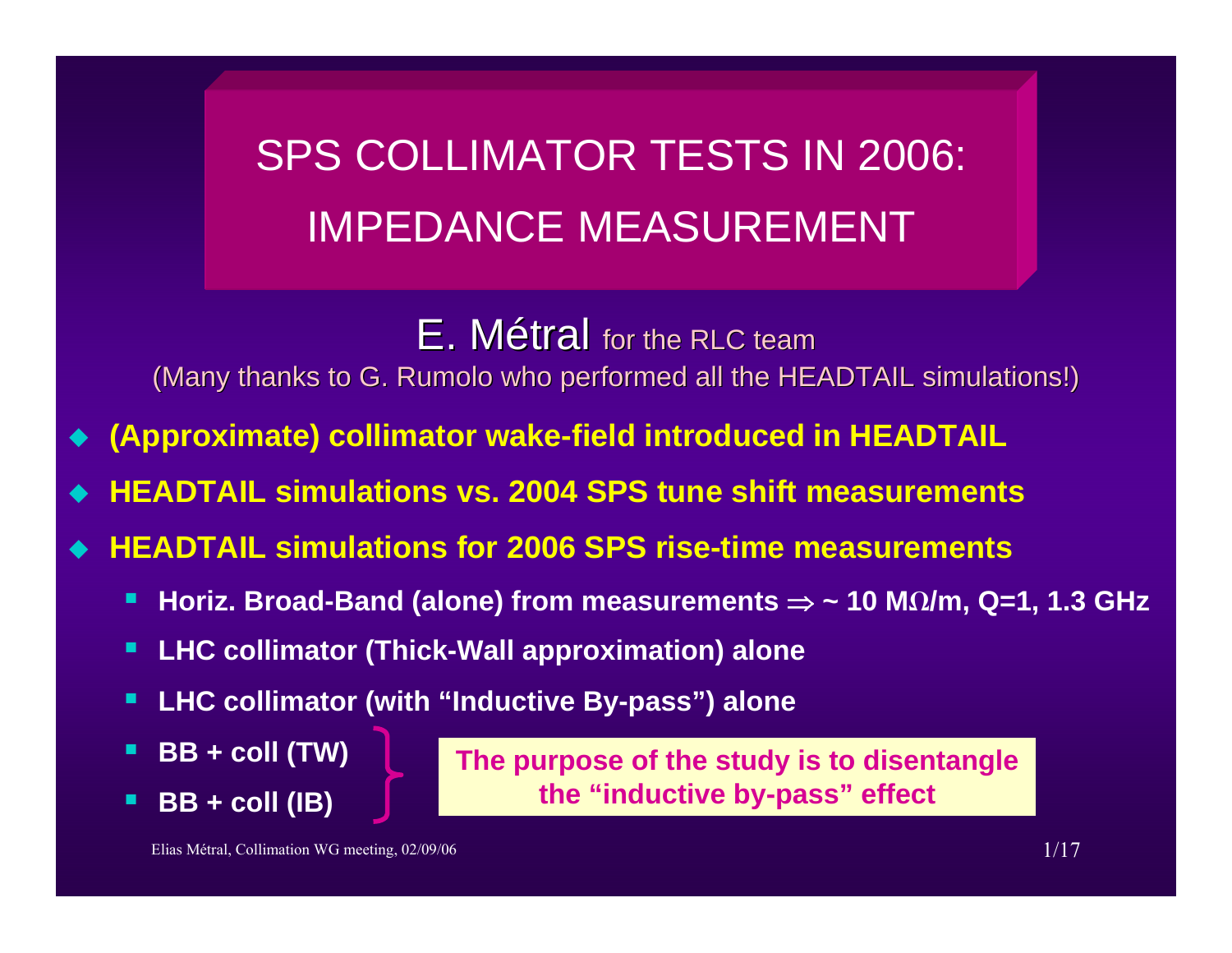SPS COLLIMATOR TESTS IN 2006: IMPEDANCE MEASUREMENT

 $E.$  Métral for the RLC team

(Many thanks to G. Rumolo who performed all the HEADTAIL simulations!)

- ♦ **(Approximate) collimator wake-field introduced in HEADTAIL**
- ♦ **HEADTAIL simulations vs. 2004 SPS tune shift measurements**
- ♦ **HEADTAIL simulations for 2006 SPS rise-time measurements**
	- Е **Horiz. Broad-Band (alone) from measurements** <sup>⇒</sup> **~ 10 MW/m, Q=1, 1.3 GHz**
	- П **LHC collimator (Thick-Wall approximation) alone**
	- п **LHC collimator (with "Inductive By-pass") alone**
	- Е **BB + coll (TW)**
	- Е **BB + coll (IB)**

**The purpose of the study is to disentangle the "inductive by-pass" effect**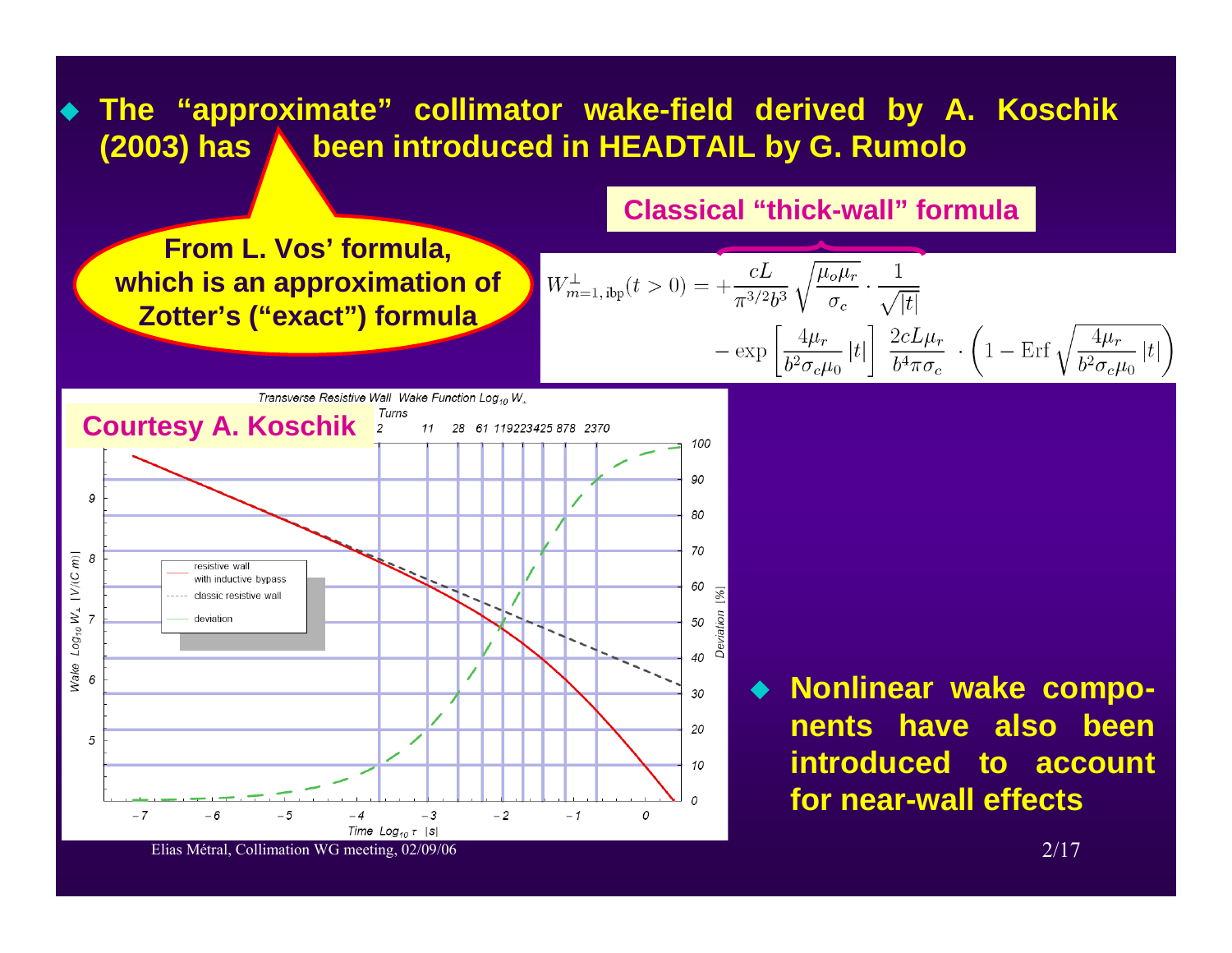## **The "approximate" collimator wake-field derived by A. Koschik (2003) has been introduced in HEADTAIL by G. Rumolo**

**Classical "thick-wall" formula**

♦

**From L. Vos' formula, which is an approximation of Zotter's ("exact") formula**

$$
W_{m=1,\text{ ibp}}^{\perp}(t>0) = +\frac{cL}{\pi^{3/2}b^3} \sqrt{\frac{\mu_o \mu_r}{\sigma_c}} \cdot \frac{1}{\sqrt{|t|}} - \exp\left[\frac{4\mu_r}{b^2 \sigma_c \mu_0} |t|\right] \frac{2cL\mu_r}{b^4 \pi \sigma_c} \cdot \left(1 - \text{Erf} \sqrt{\frac{4\mu_r}{b^2 \sigma_c \mu_0} |t|\right)
$$



 **Nonlinear wake components have also been introduced to account for near-wall effects**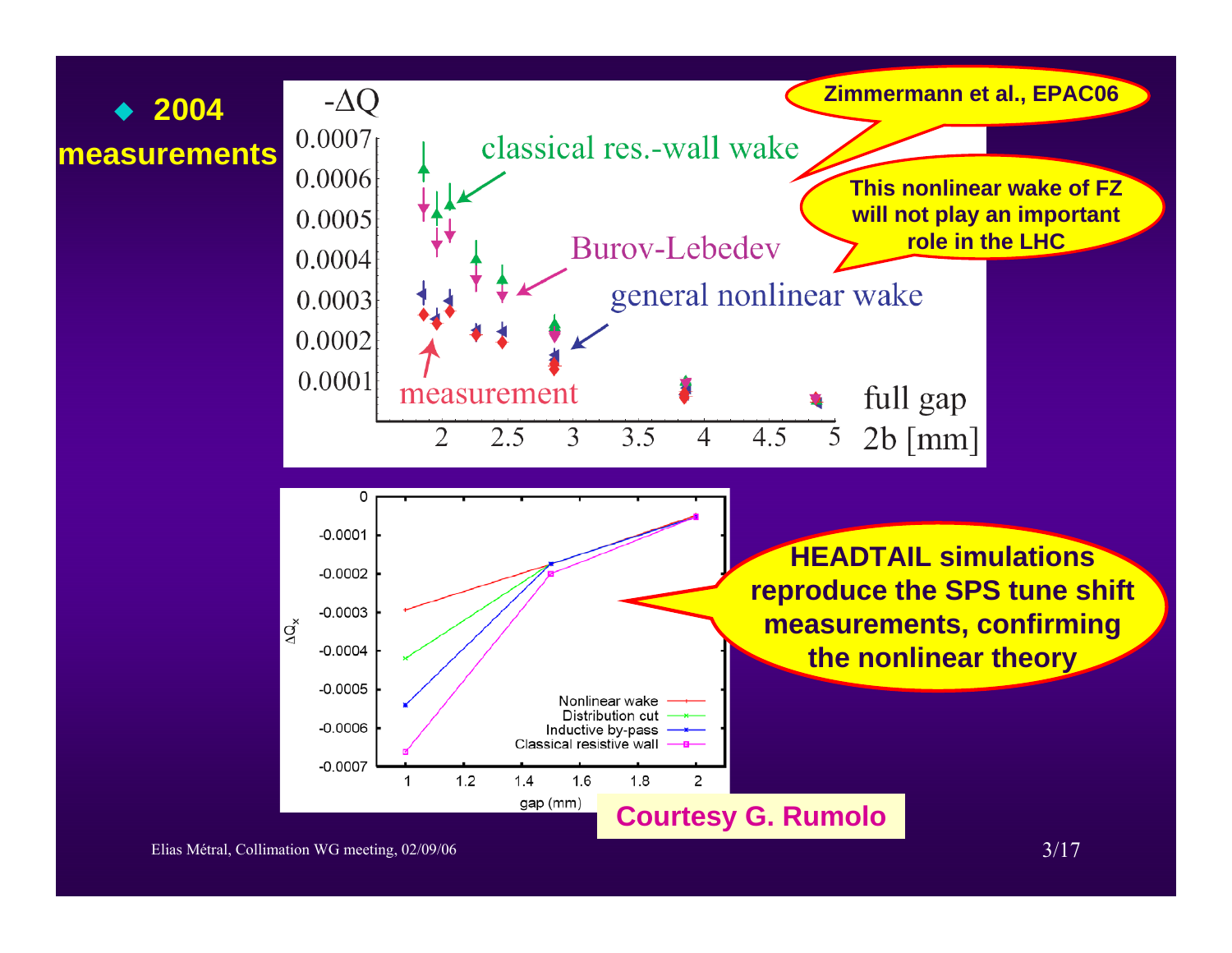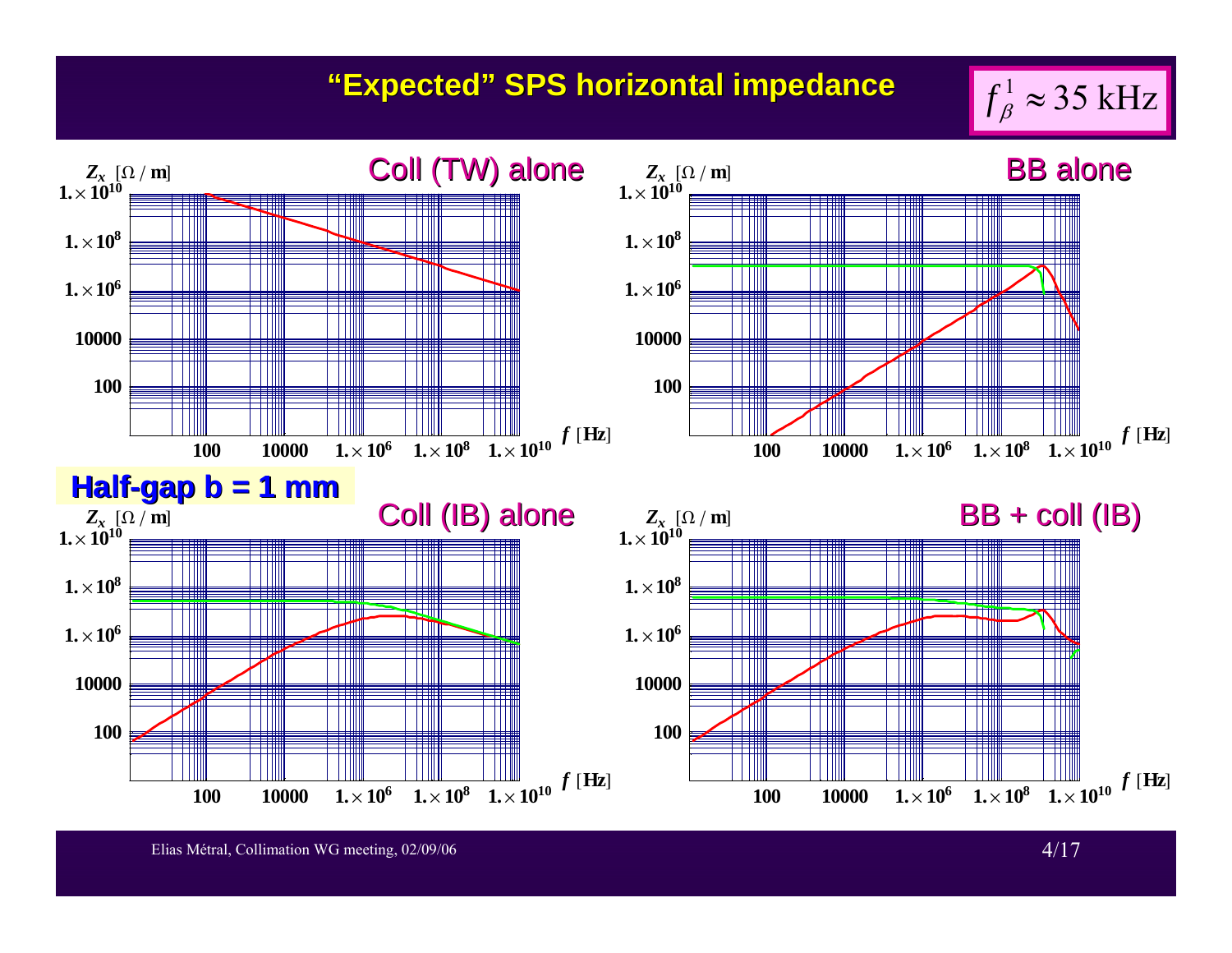## **"Expected" SPS horizontal impedance**



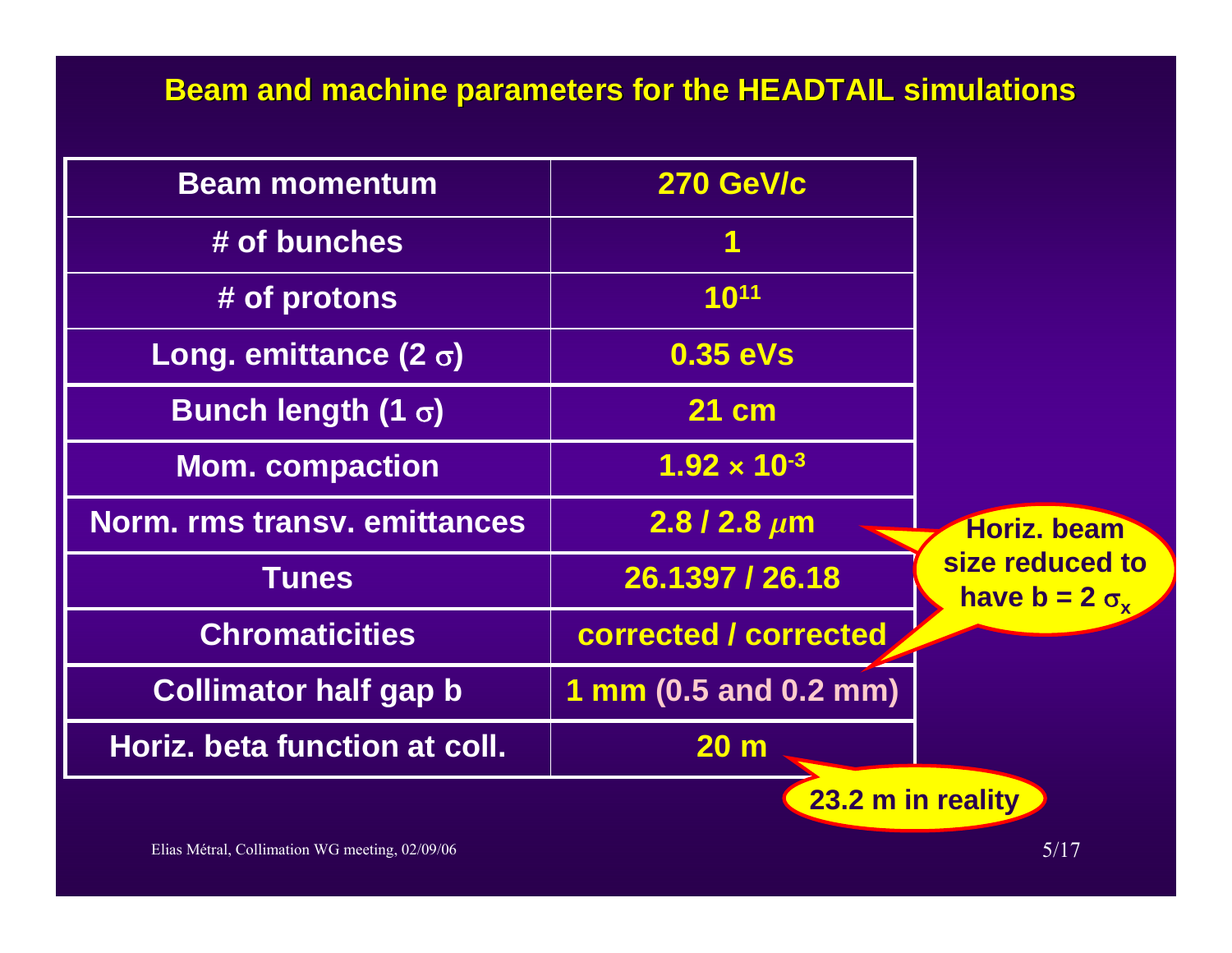## **Beam and machine parameters for the HEADTAIL simulations**

| <b>Beam momentum</b>                | <b>270 GeV/c</b>      |                                            |  |  |
|-------------------------------------|-----------------------|--------------------------------------------|--|--|
| # of bunches                        |                       |                                            |  |  |
| # of protons                        | 1011                  |                                            |  |  |
| Long. emittance $(2 \sigma)$        | 0.35 eVs              |                                            |  |  |
| Bunch length (1 $\sigma$ )          | 21 cm                 |                                            |  |  |
| <b>Mom. compaction</b>              | $1.92 \times 10^{-3}$ |                                            |  |  |
| <b>Norm. rms transv. emittances</b> | $2.8/2.8 \mu m$       | Horiz, beam                                |  |  |
| <b>Tunes</b>                        | 26.1397 / 26.18       | size reduced to<br>have $b = 2 \sigma_{r}$ |  |  |
| <b>Chromaticities</b>               | corrected / corrected |                                            |  |  |
| <b>Collimator half gap b</b>        | 1 mm (0.5 and 0.2 mm) |                                            |  |  |
| Horiz. beta function at coll.       | 20 <sub>m</sub>       |                                            |  |  |
| 23.2 m in reality                   |                       |                                            |  |  |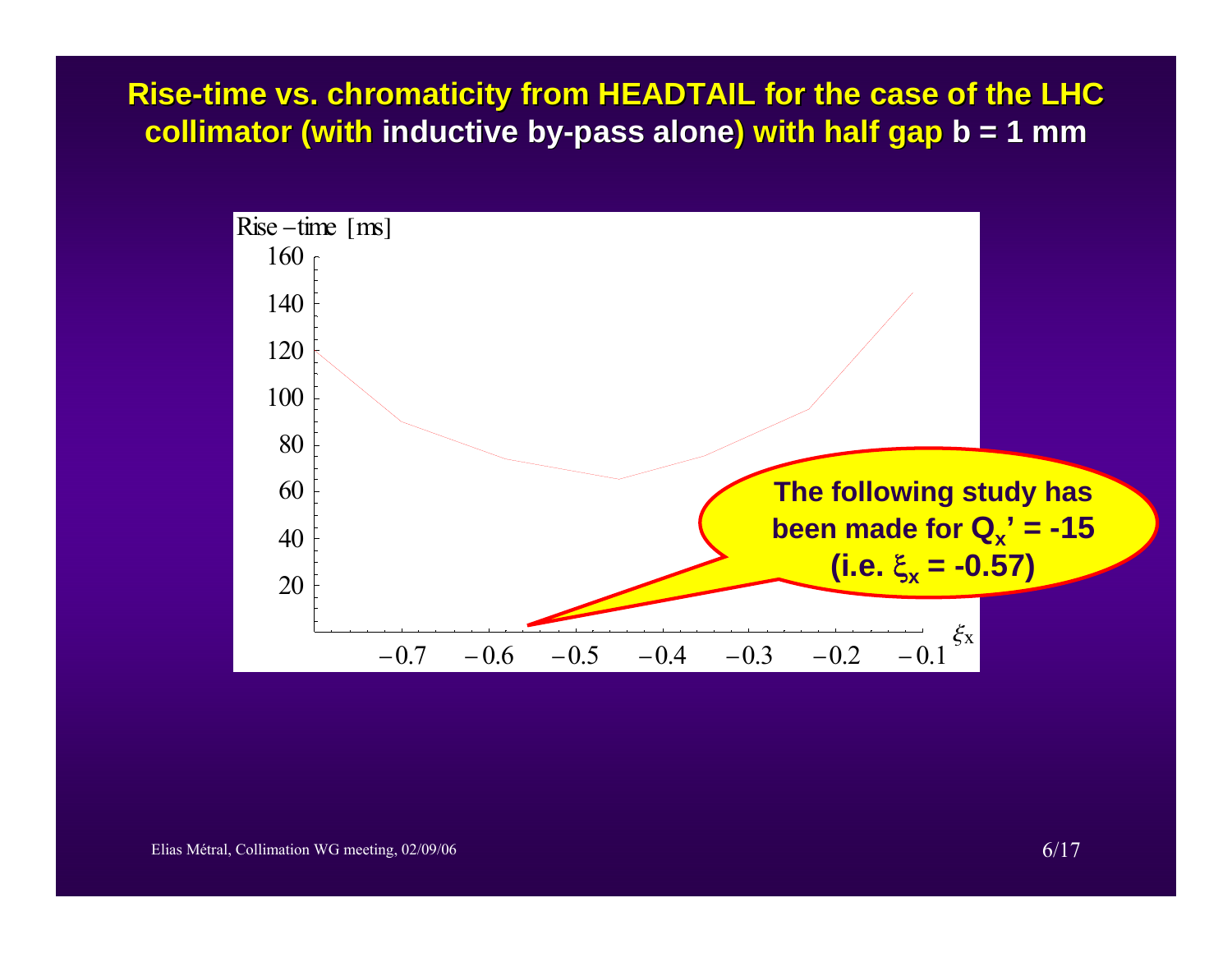**Rise-time vs. chromaticity from HEADTAIL for the case of the LHC collimator (with inductive by-pass alone) with half gap b = 1 mm** 

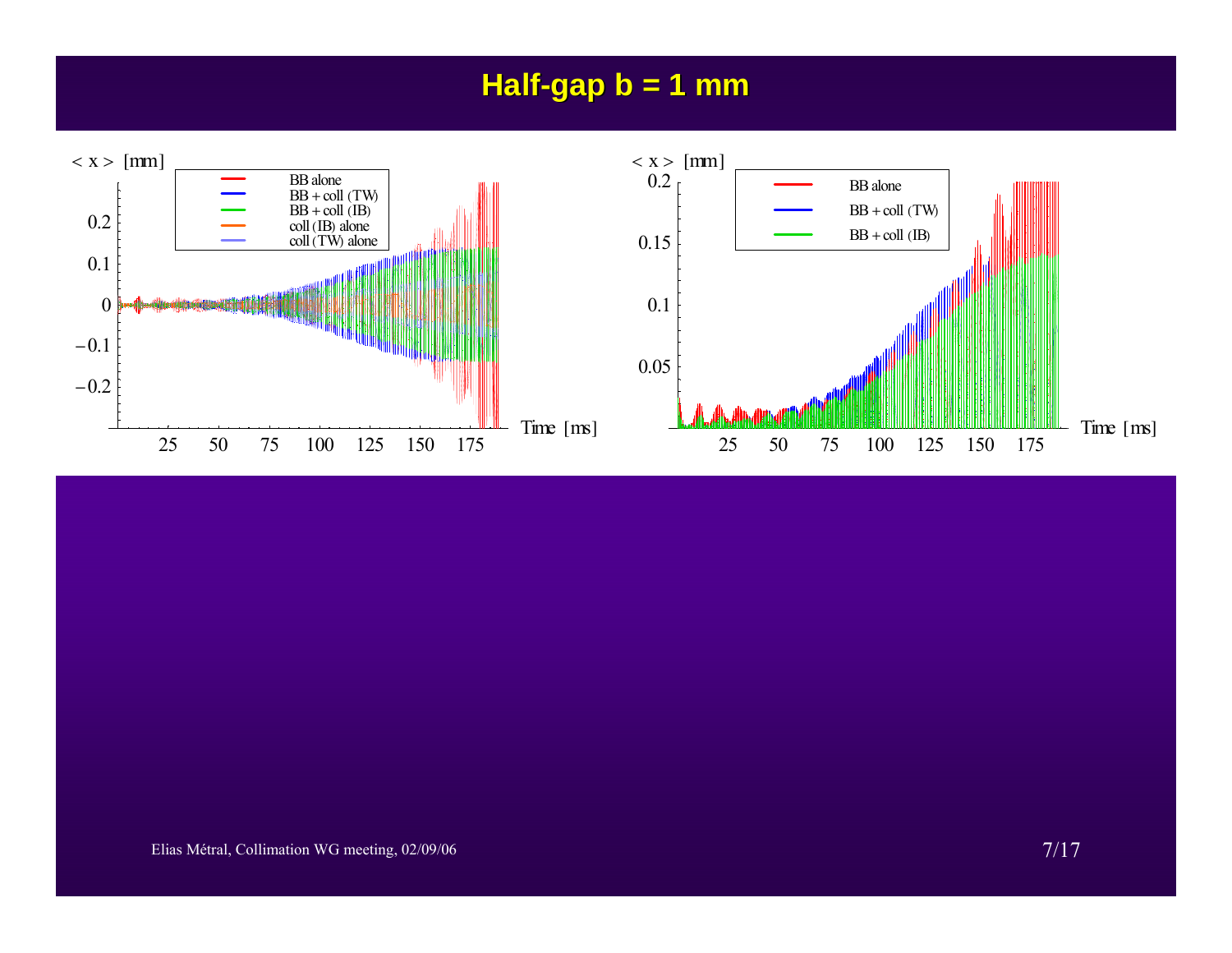## **Half-gap b = 1 mm**

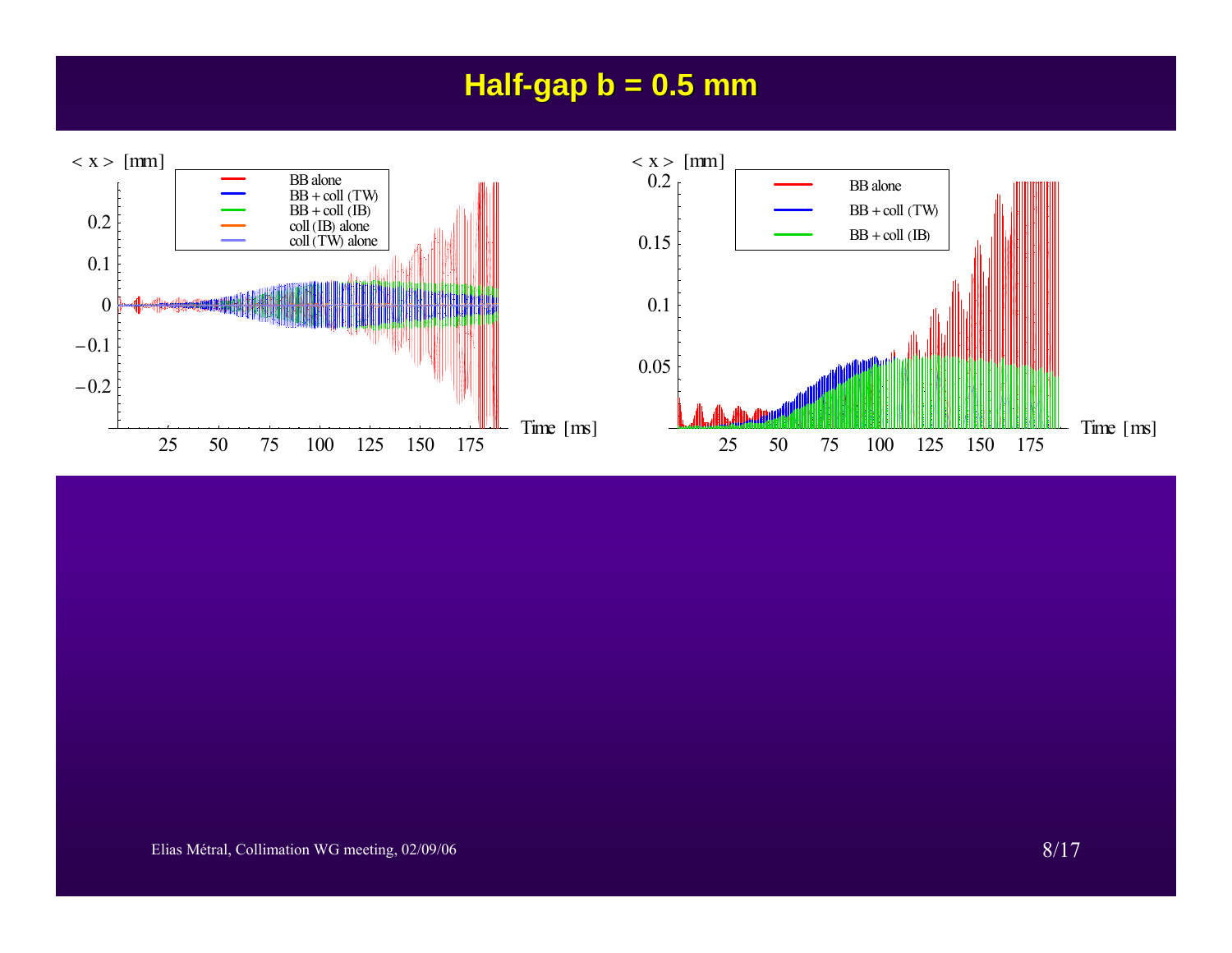## **Half-gap b = 0.5 mm**

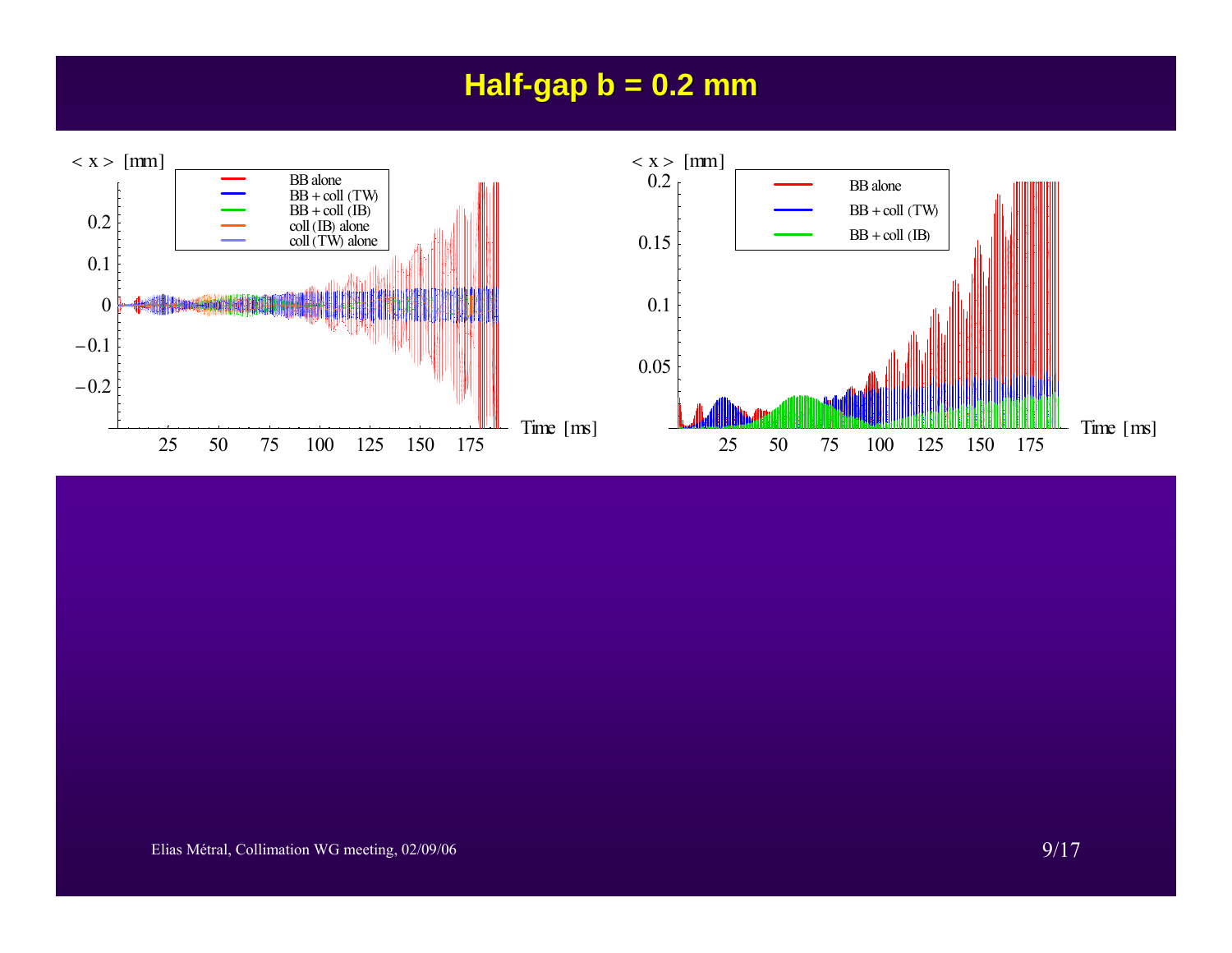## **Half-gap b = 0.2 mm**

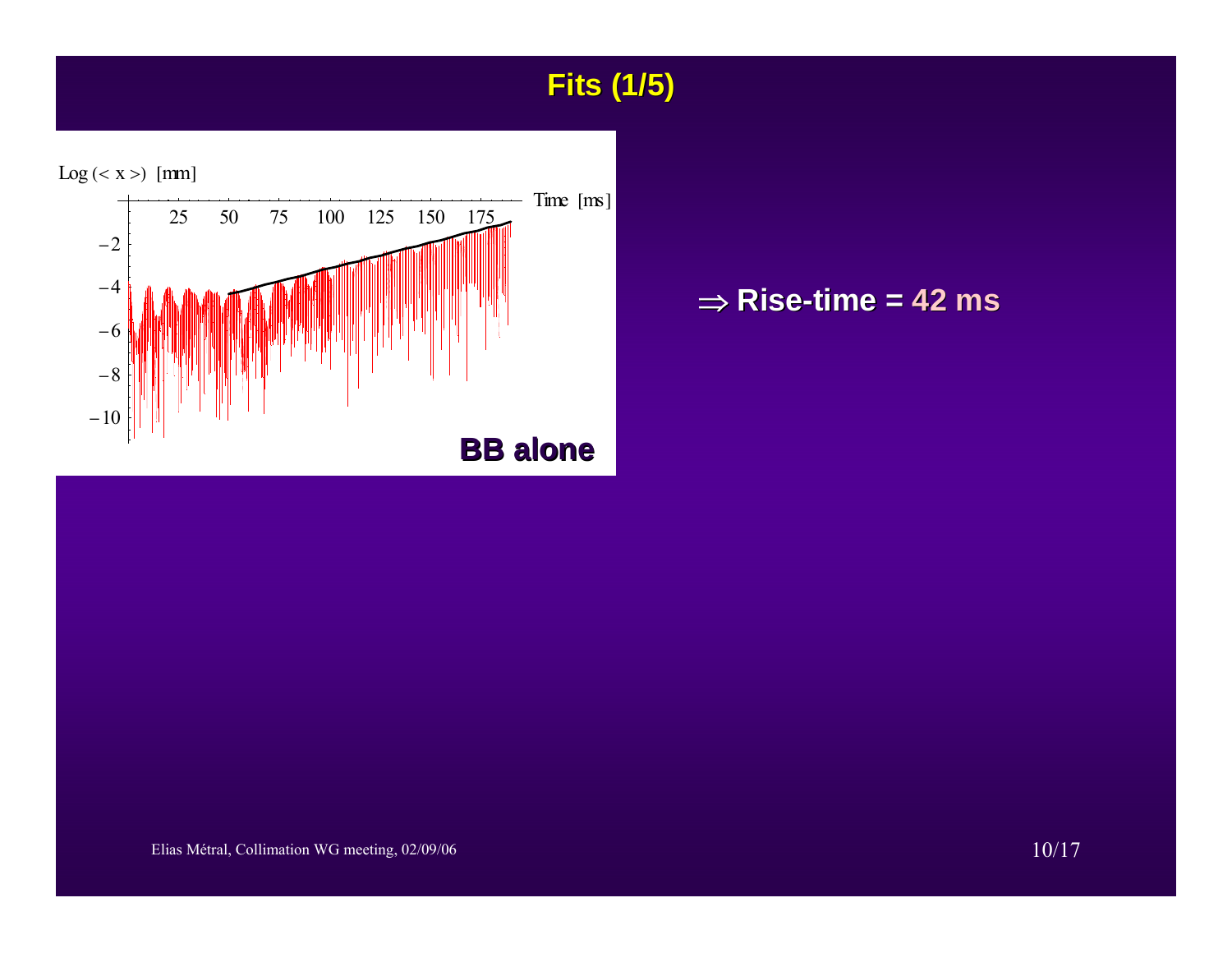## **Fits (1/5) Fits (1/5)**



#### ⇒ **Rise-time = 42 ms**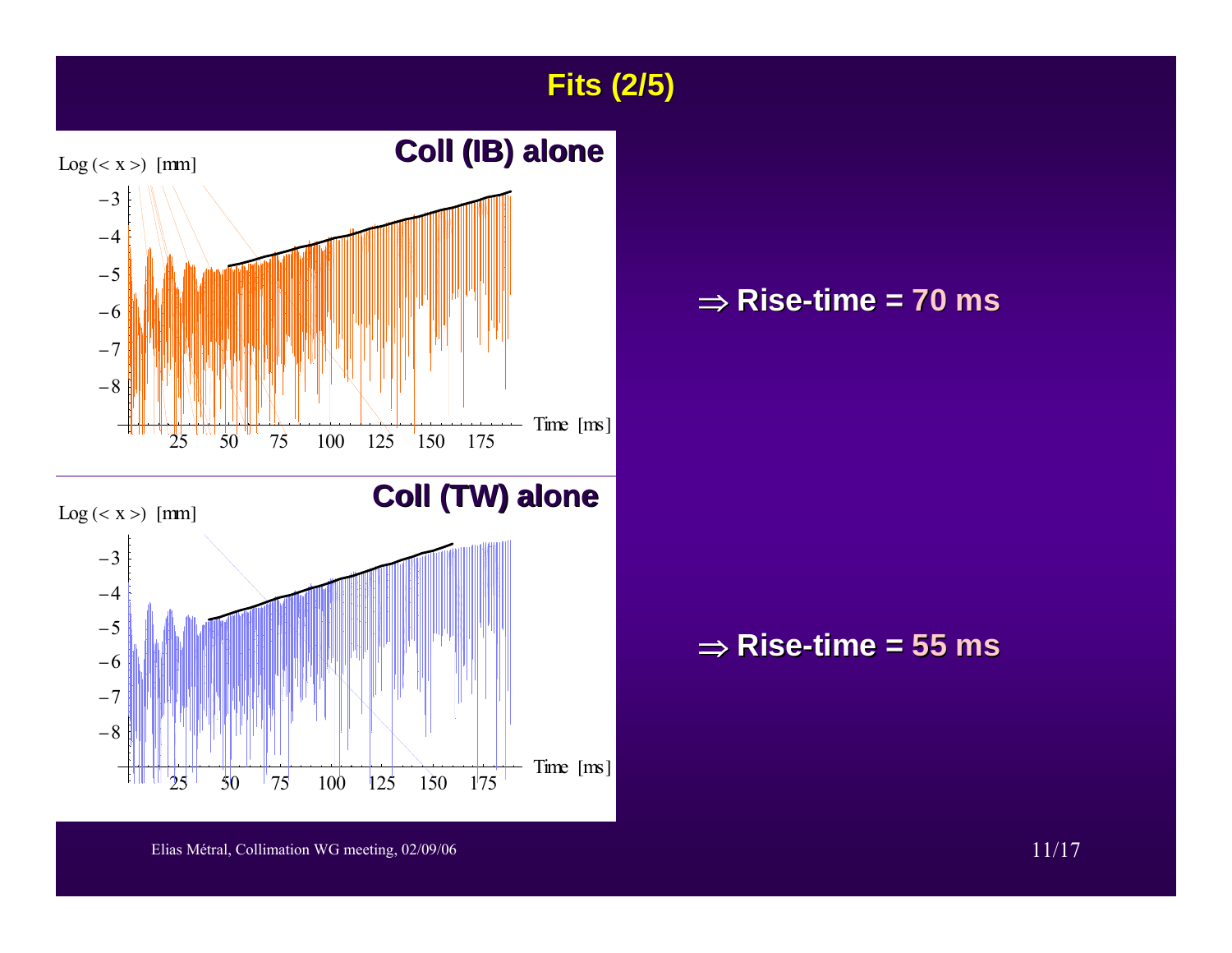**Fits (2/5) Fits (2/5)**



#### ⇒ **Rise-time = 70 ms**

⇒ **Rise-time = 55 ms**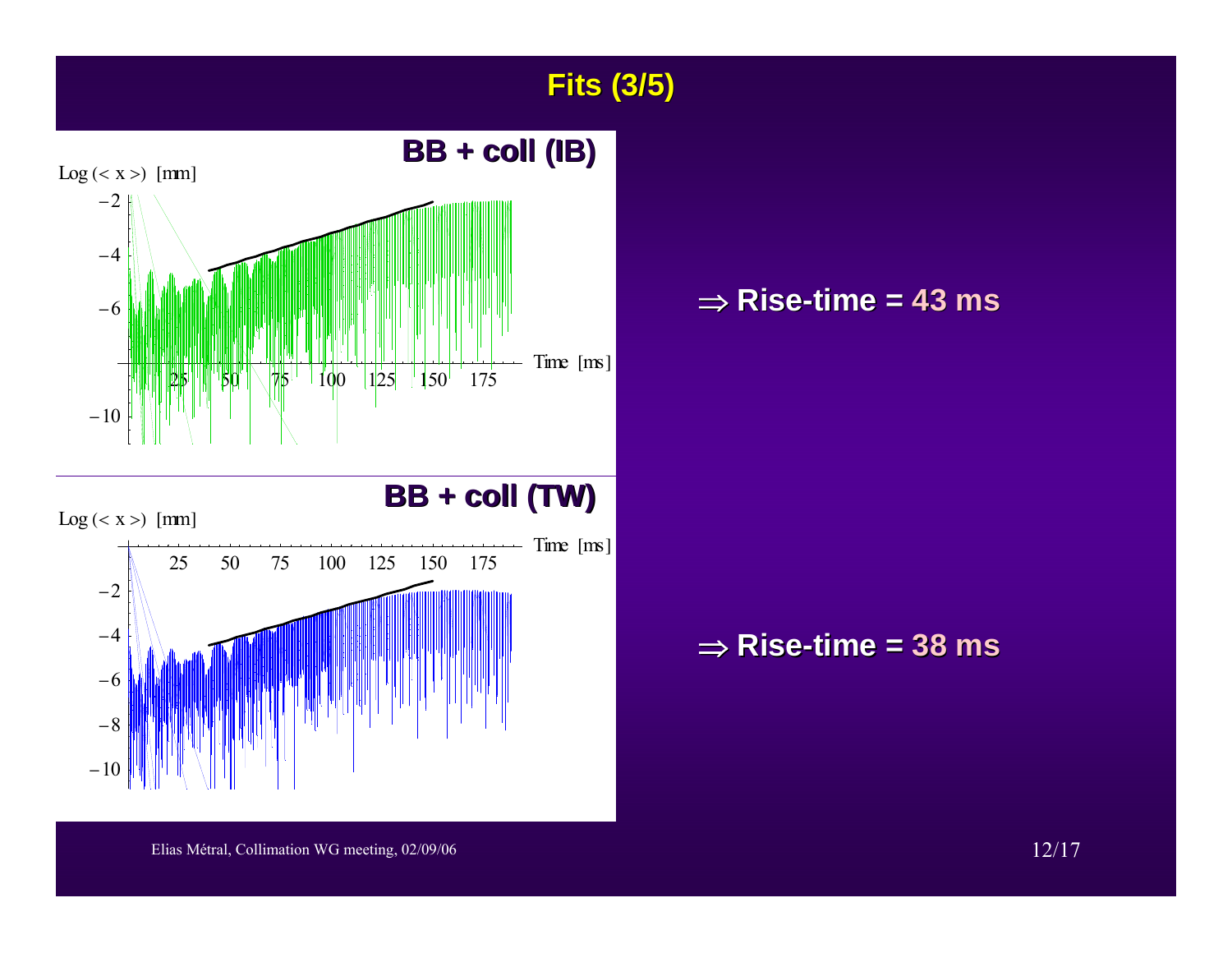**Fits (3/5) Fits (3/5)**



#### ⇒ **Rise-time = 43 ms**

⇒ **Rise-time = 38 ms**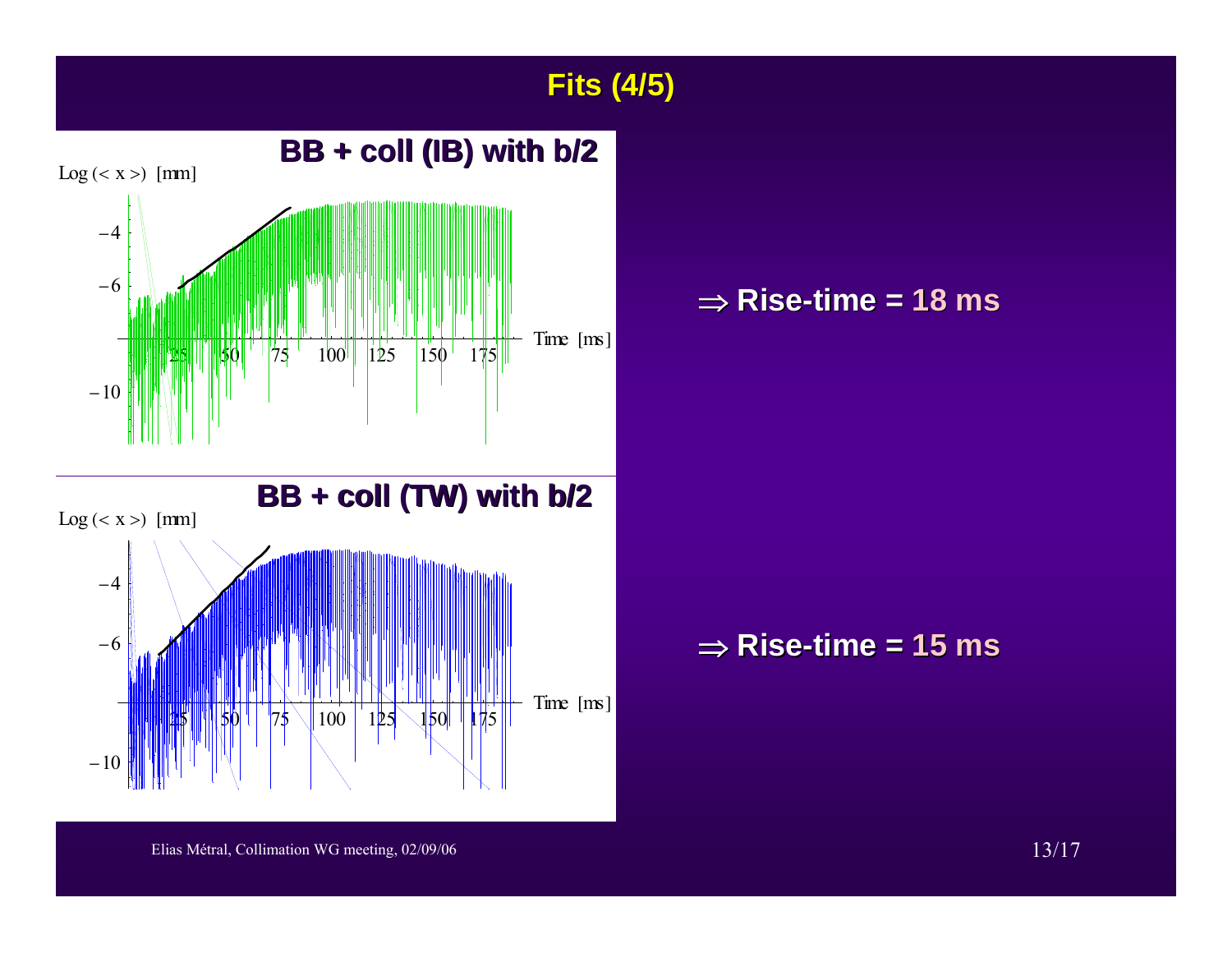**Fits (4/5) Fits (4/5)**



#### ⇒ **Rise-time = 18 ms**

⇒ **Rise-time = 15 ms**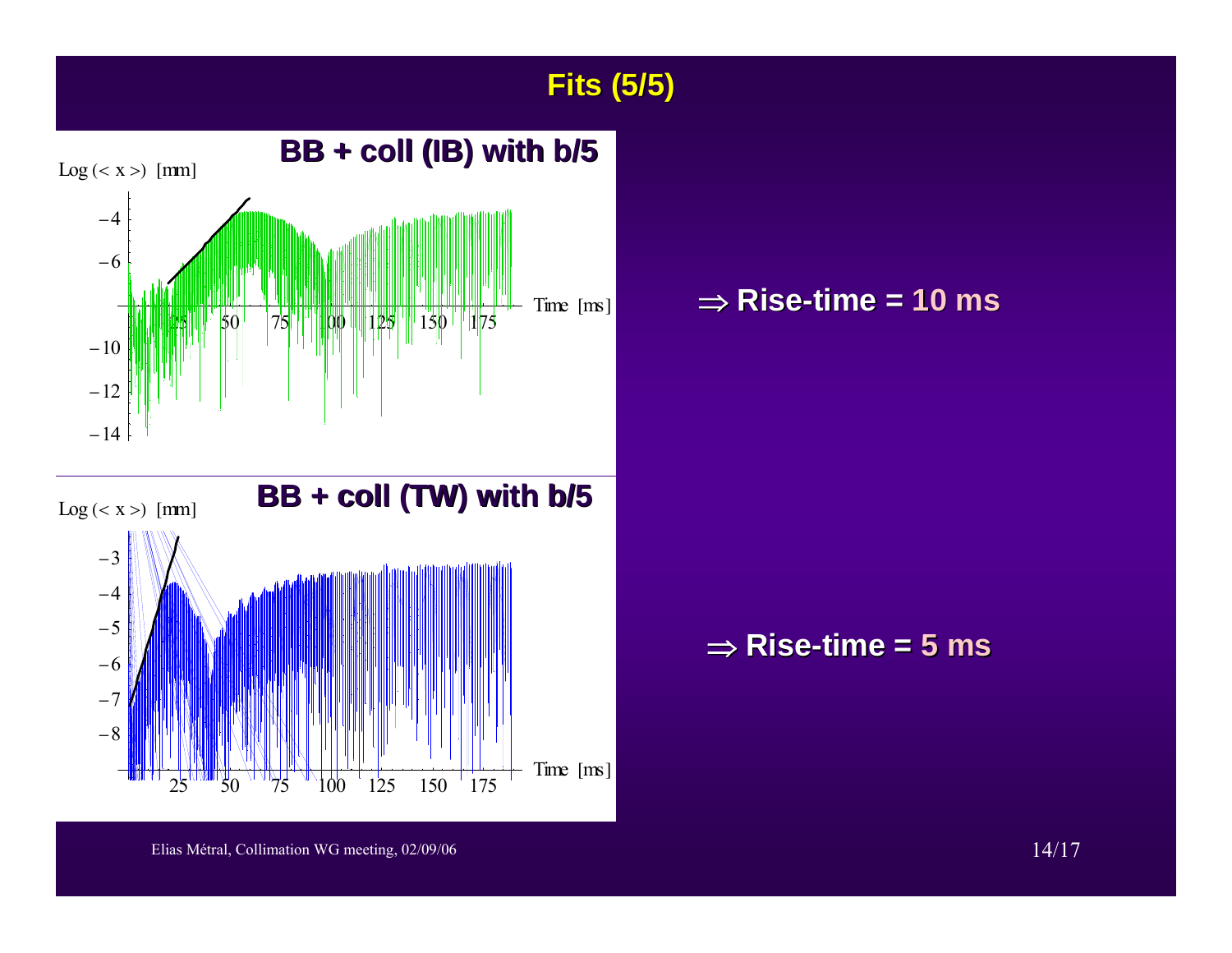**Fits (5/5) Fits (5/5)**

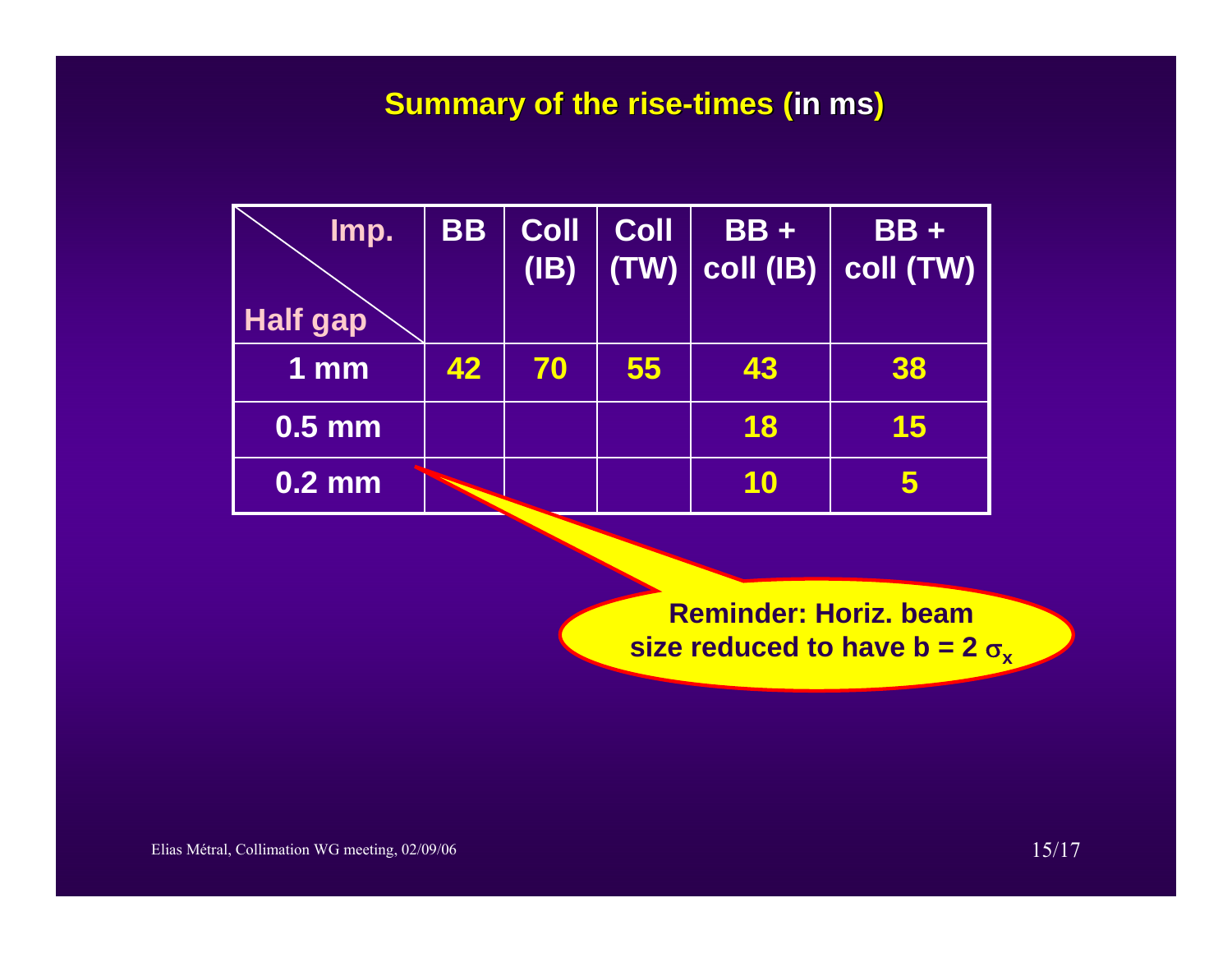### **Summary of the rise-times (in ms)**

| Imp.                | <b>BB</b> | <b>Coll</b><br>(IB) | <b>Coll</b><br>(TW) | $BB +$ | $BB +$<br>$ {\rm coll}\ ({\rm IB})\  \ {\rm coll}\ ({\rm TW})\  $ |
|---------------------|-----------|---------------------|---------------------|--------|-------------------------------------------------------------------|
| <b>Half gap</b>     |           |                     |                     |        |                                                                   |
| 1 <sub>mm</sub>     | 42        | 70                  | 55                  | 43     | 38                                                                |
| $\overline{0.5}$ mm |           |                     |                     | 18     | 15                                                                |
| $\overline{0.2}$ mm |           |                     |                     | 10     |                                                                   |

**Reminder: Horiz. beam size reduced to have b = 2**  $\sigma_{\mathbf{x}}$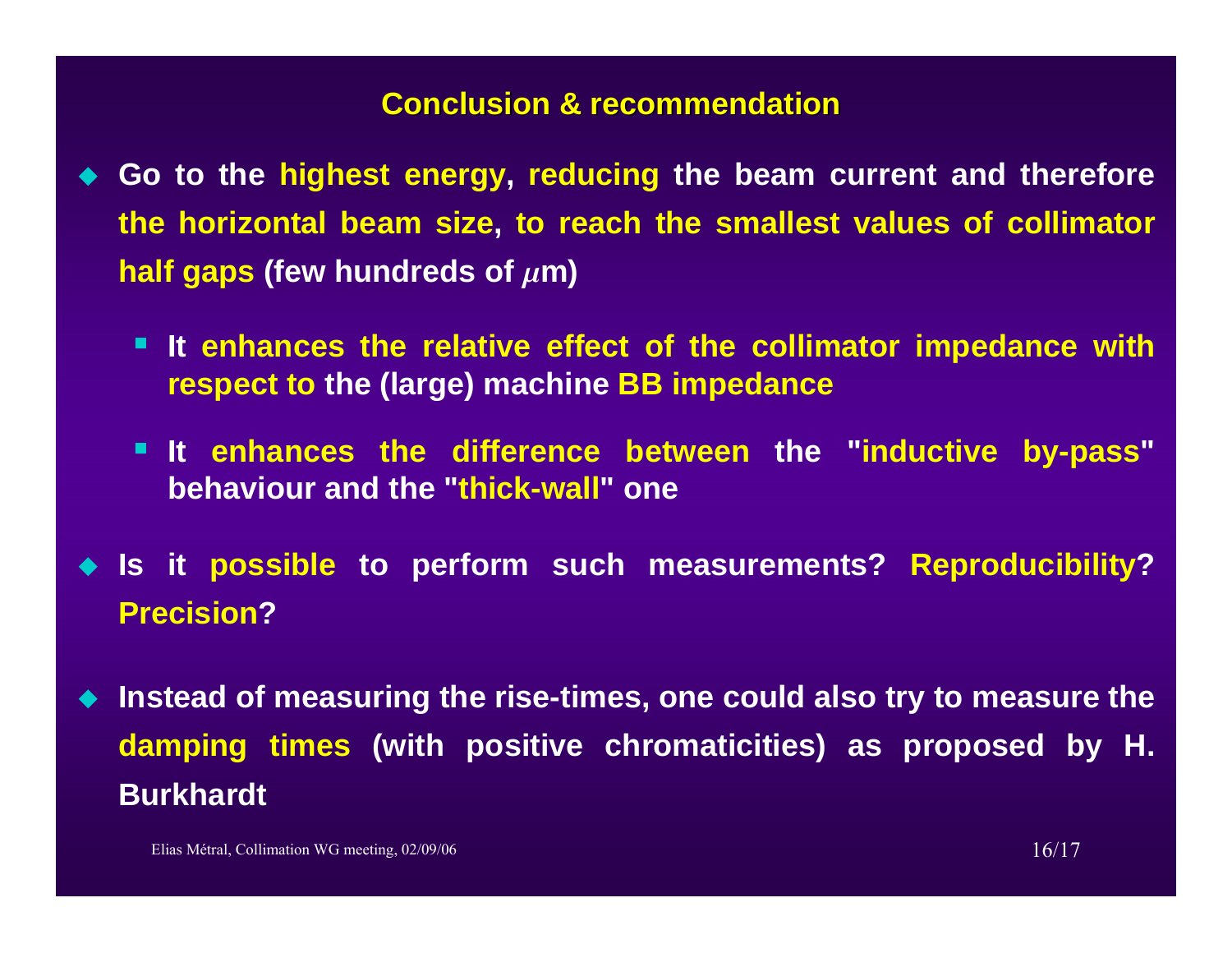#### **Conclusion & recommendation Conclusion & recommendation**

- **Go to the highest energy, reducing the beam current and therefore the horizontal beam size, to reach the smallest values of collimator half gaps (few hundreds of**  $\mu$ **m)** 
	- **It enhances the relative effect of the collimator impedance with respect to the (large) machine BB impedance**
	- **It enhances the difference between the "inductive by-pass" behaviour and the "thick-wall" one**
- **Is it possible to perform such measurements? Reproducibility? Precision?**
- **Instead of measuring the rise-times, one could also try to measure the damping times (with positive chromaticities) as proposed by H. Burkhardt**